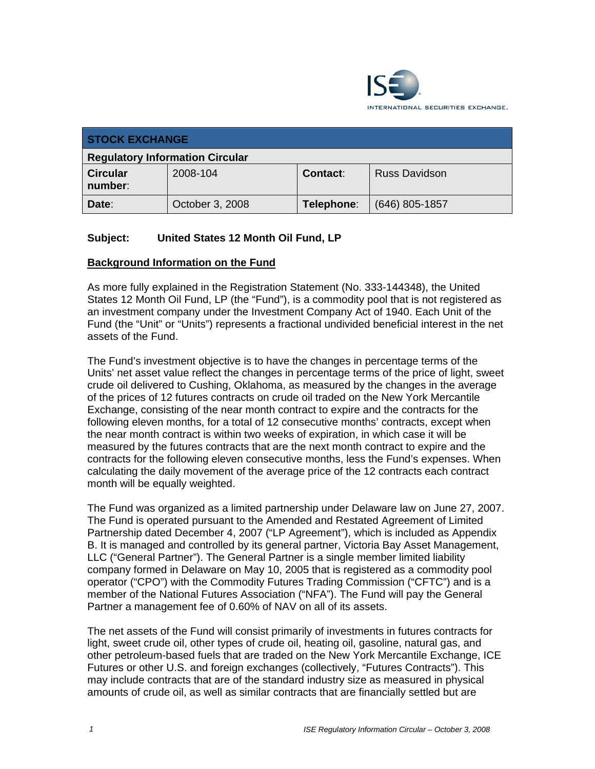

| <b>STOCK EXCHANGE</b>                  |                 |            |                      |  |
|----------------------------------------|-----------------|------------|----------------------|--|
| <b>Regulatory Information Circular</b> |                 |            |                      |  |
| <b>Circular</b><br>number:             | 2008-104        | Contact:   | <b>Russ Davidson</b> |  |
| Date:                                  | October 3, 2008 | Telephone: | $(646)$ 805-1857     |  |

## **Subject: United States 12 Month Oil Fund, LP**

#### **Background Information on the Fund**

As more fully explained in the Registration Statement (No. 333-144348), the United States 12 Month Oil Fund, LP (the "Fund"), is a commodity pool that is not registered as an investment company under the Investment Company Act of 1940. Each Unit of the Fund (the "Unit" or "Units") represents a fractional undivided beneficial interest in the net assets of the Fund.

The Fund's investment objective is to have the changes in percentage terms of the Units' net asset value reflect the changes in percentage terms of the price of light, sweet crude oil delivered to Cushing, Oklahoma, as measured by the changes in the average of the prices of 12 futures contracts on crude oil traded on the New York Mercantile Exchange, consisting of the near month contract to expire and the contracts for the following eleven months, for a total of 12 consecutive months' contracts, except when the near month contract is within two weeks of expiration, in which case it will be measured by the futures contracts that are the next month contract to expire and the contracts for the following eleven consecutive months, less the Fund's expenses. When calculating the daily movement of the average price of the 12 contracts each contract month will be equally weighted.

The Fund was organized as a limited partnership under Delaware law on June 27, 2007. The Fund is operated pursuant to the Amended and Restated Agreement of Limited Partnership dated December 4, 2007 ("LP Agreement"), which is included as Appendix B. It is managed and controlled by its general partner, Victoria Bay Asset Management, LLC ("General Partner"). The General Partner is a single member limited liability company formed in Delaware on May 10, 2005 that is registered as a commodity pool operator ("CPO") with the Commodity Futures Trading Commission ("CFTC") and is a member of the National Futures Association ("NFA"). The Fund will pay the General Partner a management fee of 0.60% of NAV on all of its assets.

The net assets of the Fund will consist primarily of investments in futures contracts for light, sweet crude oil, other types of crude oil, heating oil, gasoline, natural gas, and other petroleum-based fuels that are traded on the New York Mercantile Exchange, ICE Futures or other U.S. and foreign exchanges (collectively, "Futures Contracts"). This may include contracts that are of the standard industry size as measured in physical amounts of crude oil, as well as similar contracts that are financially settled but are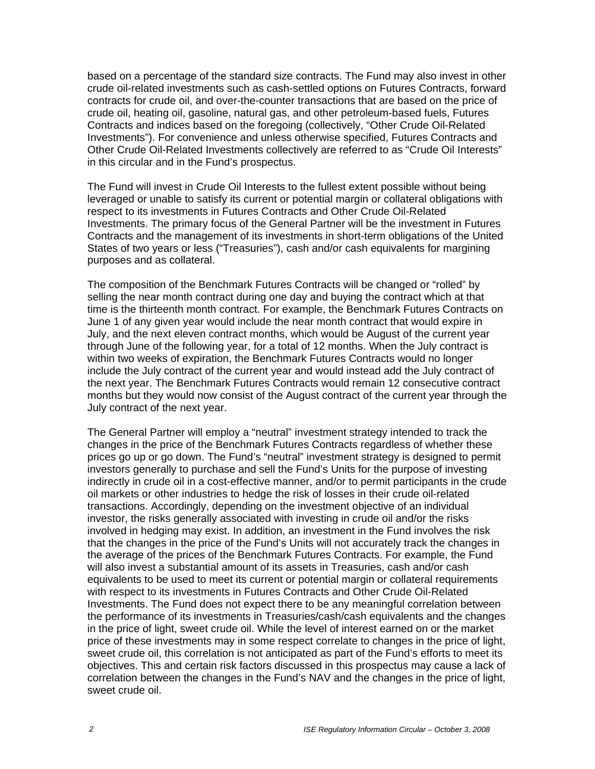based on a percentage of the standard size contracts. The Fund may also invest in other crude oil-related investments such as cash-settled options on Futures Contracts, forward contracts for crude oil, and over-the-counter transactions that are based on the price of crude oil, heating oil, gasoline, natural gas, and other petroleum-based fuels, Futures Contracts and indices based on the foregoing (collectively, "Other Crude Oil-Related Investments"). For convenience and unless otherwise specified, Futures Contracts and Other Crude Oil-Related Investments collectively are referred to as "Crude Oil Interests" in this circular and in the Fund's prospectus.

The Fund will invest in Crude Oil Interests to the fullest extent possible without being leveraged or unable to satisfy its current or potential margin or collateral obligations with respect to its investments in Futures Contracts and Other Crude Oil-Related Investments. The primary focus of the General Partner will be the investment in Futures Contracts and the management of its investments in short-term obligations of the United States of two years or less ("Treasuries"), cash and/or cash equivalents for margining purposes and as collateral.

The composition of the Benchmark Futures Contracts will be changed or "rolled" by selling the near month contract during one day and buying the contract which at that time is the thirteenth month contract. For example, the Benchmark Futures Contracts on June 1 of any given year would include the near month contract that would expire in July, and the next eleven contract months, which would be August of the current year through June of the following year, for a total of 12 months. When the July contract is within two weeks of expiration, the Benchmark Futures Contracts would no longer include the July contract of the current year and would instead add the July contract of the next year. The Benchmark Futures Contracts would remain 12 consecutive contract months but they would now consist of the August contract of the current year through the July contract of the next year.

The General Partner will employ a "neutral" investment strategy intended to track the changes in the price of the Benchmark Futures Contracts regardless of whether these prices go up or go down. The Fund's "neutral" investment strategy is designed to permit investors generally to purchase and sell the Fund's Units for the purpose of investing indirectly in crude oil in a cost-effective manner, and/or to permit participants in the crude oil markets or other industries to hedge the risk of losses in their crude oil-related transactions. Accordingly, depending on the investment objective of an individual investor, the risks generally associated with investing in crude oil and/or the risks involved in hedging may exist. In addition, an investment in the Fund involves the risk that the changes in the price of the Fund's Units will not accurately track the changes in the average of the prices of the Benchmark Futures Contracts. For example, the Fund will also invest a substantial amount of its assets in Treasuries, cash and/or cash equivalents to be used to meet its current or potential margin or collateral requirements with respect to its investments in Futures Contracts and Other Crude Oil-Related Investments. The Fund does not expect there to be any meaningful correlation between the performance of its investments in Treasuries/cash/cash equivalents and the changes in the price of light, sweet crude oil. While the level of interest earned on or the market price of these investments may in some respect correlate to changes in the price of light, sweet crude oil, this correlation is not anticipated as part of the Fund's efforts to meet its objectives. This and certain risk factors discussed in this prospectus may cause a lack of correlation between the changes in the Fund's NAV and the changes in the price of light, sweet crude oil.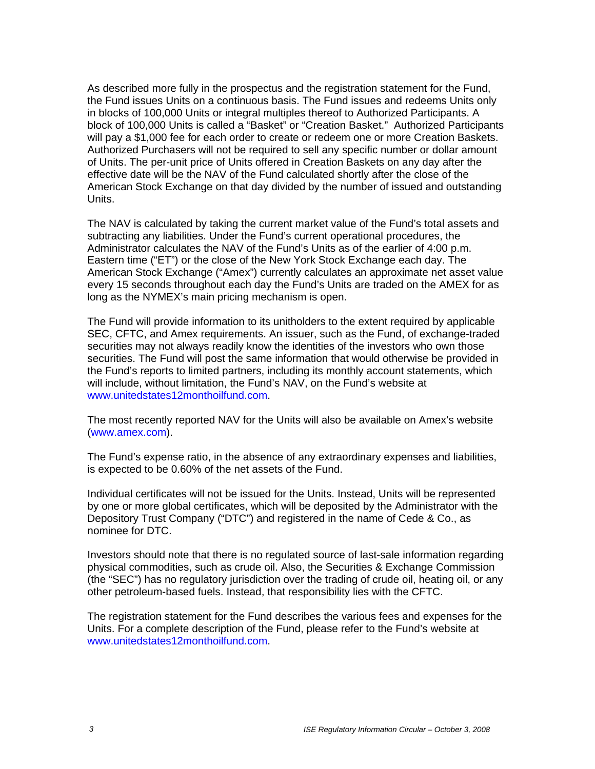As described more fully in the prospectus and the registration statement for the Fund, the Fund issues Units on a continuous basis. The Fund issues and redeems Units only in blocks of 100,000 Units or integral multiples thereof to Authorized Participants. A block of 100,000 Units is called a "Basket" or "Creation Basket." Authorized Participants will pay a \$1,000 fee for each order to create or redeem one or more Creation Baskets. Authorized Purchasers will not be required to sell any specific number or dollar amount of Units. The per-unit price of Units offered in Creation Baskets on any day after the effective date will be the NAV of the Fund calculated shortly after the close of the American Stock Exchange on that day divided by the number of issued and outstanding Units.

The NAV is calculated by taking the current market value of the Fund's total assets and subtracting any liabilities. Under the Fund's current operational procedures, the Administrator calculates the NAV of the Fund's Units as of the earlier of 4:00 p.m. Eastern time ("ET") or the close of the New York Stock Exchange each day. The American Stock Exchange ("Amex") currently calculates an approximate net asset value every 15 seconds throughout each day the Fund's Units are traded on the AMEX for as long as the NYMEX's main pricing mechanism is open.

The Fund will provide information to its unitholders to the extent required by applicable SEC, CFTC, and Amex requirements. An issuer, such as the Fund, of exchange-traded securities may not always readily know the identities of the investors who own those securities. The Fund will post the same information that would otherwise be provided in the Fund's reports to limited partners, including its monthly account statements, which will include, without limitation, the Fund's NAV, on the Fund's website at www.unitedstates12monthoilfund.com.

The most recently reported NAV for the Units will also be available on Amex's website (www.amex.com).

The Fund's expense ratio, in the absence of any extraordinary expenses and liabilities, is expected to be 0.60% of the net assets of the Fund.

Individual certificates will not be issued for the Units. Instead, Units will be represented by one or more global certificates, which will be deposited by the Administrator with the Depository Trust Company ("DTC") and registered in the name of Cede & Co., as nominee for DTC.

Investors should note that there is no regulated source of last-sale information regarding physical commodities, such as crude oil. Also, the Securities & Exchange Commission (the "SEC") has no regulatory jurisdiction over the trading of crude oil, heating oil, or any other petroleum-based fuels. Instead, that responsibility lies with the CFTC.

The registration statement for the Fund describes the various fees and expenses for the Units. For a complete description of the Fund, please refer to the Fund's website at www.unitedstates12monthoilfund.com.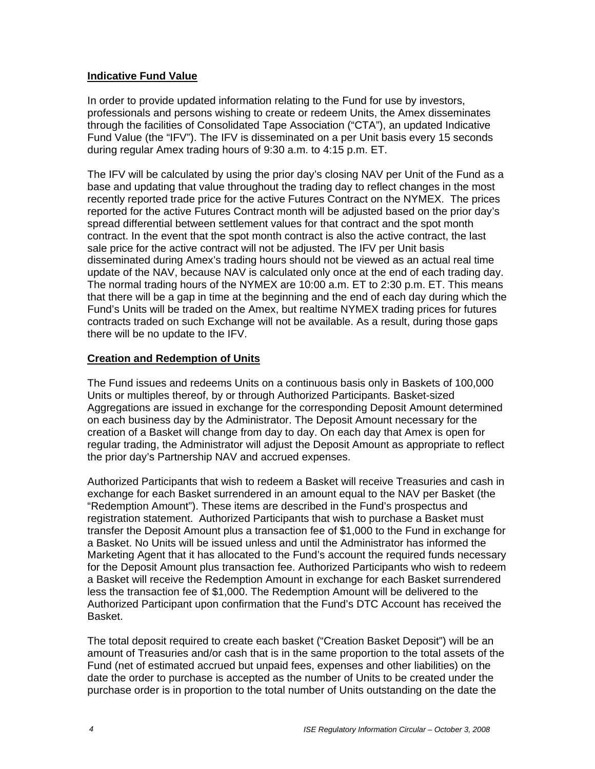### **Indicative Fund Value**

In order to provide updated information relating to the Fund for use by investors, professionals and persons wishing to create or redeem Units, the Amex disseminates through the facilities of Consolidated Tape Association ("CTA"), an updated Indicative Fund Value (the "IFV"). The IFV is disseminated on a per Unit basis every 15 seconds during regular Amex trading hours of 9:30 a.m. to 4:15 p.m. ET.

The IFV will be calculated by using the prior day's closing NAV per Unit of the Fund as a base and updating that value throughout the trading day to reflect changes in the most recently reported trade price for the active Futures Contract on the NYMEX. The prices reported for the active Futures Contract month will be adjusted based on the prior day's spread differential between settlement values for that contract and the spot month contract. In the event that the spot month contract is also the active contract, the last sale price for the active contract will not be adjusted. The IFV per Unit basis disseminated during Amex's trading hours should not be viewed as an actual real time update of the NAV, because NAV is calculated only once at the end of each trading day. The normal trading hours of the NYMEX are 10:00 a.m. ET to 2:30 p.m. ET. This means that there will be a gap in time at the beginning and the end of each day during which the Fund's Units will be traded on the Amex, but realtime NYMEX trading prices for futures contracts traded on such Exchange will not be available. As a result, during those gaps there will be no update to the IFV.

#### **Creation and Redemption of Units**

The Fund issues and redeems Units on a continuous basis only in Baskets of 100,000 Units or multiples thereof, by or through Authorized Participants. Basket-sized Aggregations are issued in exchange for the corresponding Deposit Amount determined on each business day by the Administrator. The Deposit Amount necessary for the creation of a Basket will change from day to day. On each day that Amex is open for regular trading, the Administrator will adjust the Deposit Amount as appropriate to reflect the prior day's Partnership NAV and accrued expenses.

Authorized Participants that wish to redeem a Basket will receive Treasuries and cash in exchange for each Basket surrendered in an amount equal to the NAV per Basket (the "Redemption Amount"). These items are described in the Fund's prospectus and registration statement. Authorized Participants that wish to purchase a Basket must transfer the Deposit Amount plus a transaction fee of \$1,000 to the Fund in exchange for a Basket. No Units will be issued unless and until the Administrator has informed the Marketing Agent that it has allocated to the Fund's account the required funds necessary for the Deposit Amount plus transaction fee. Authorized Participants who wish to redeem a Basket will receive the Redemption Amount in exchange for each Basket surrendered less the transaction fee of \$1,000. The Redemption Amount will be delivered to the Authorized Participant upon confirmation that the Fund's DTC Account has received the Basket.

The total deposit required to create each basket ("Creation Basket Deposit") will be an amount of Treasuries and/or cash that is in the same proportion to the total assets of the Fund (net of estimated accrued but unpaid fees, expenses and other liabilities) on the date the order to purchase is accepted as the number of Units to be created under the purchase order is in proportion to the total number of Units outstanding on the date the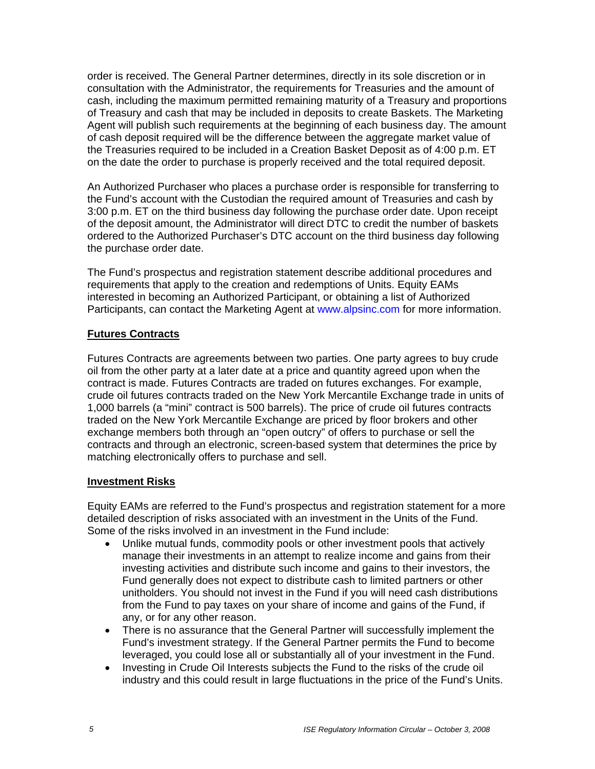order is received. The General Partner determines, directly in its sole discretion or in consultation with the Administrator, the requirements for Treasuries and the amount of cash, including the maximum permitted remaining maturity of a Treasury and proportions of Treasury and cash that may be included in deposits to create Baskets. The Marketing Agent will publish such requirements at the beginning of each business day. The amount of cash deposit required will be the difference between the aggregate market value of the Treasuries required to be included in a Creation Basket Deposit as of 4:00 p.m. ET on the date the order to purchase is properly received and the total required deposit.

An Authorized Purchaser who places a purchase order is responsible for transferring to the Fund's account with the Custodian the required amount of Treasuries and cash by 3:00 p.m. ET on the third business day following the purchase order date. Upon receipt of the deposit amount, the Administrator will direct DTC to credit the number of baskets ordered to the Authorized Purchaser's DTC account on the third business day following the purchase order date.

The Fund's prospectus and registration statement describe additional procedures and requirements that apply to the creation and redemptions of Units. Equity EAMs interested in becoming an Authorized Participant, or obtaining a list of Authorized Participants, can contact the Marketing Agent at www.alpsinc.com for more information.

### **Futures Contracts**

Futures Contracts are agreements between two parties. One party agrees to buy crude oil from the other party at a later date at a price and quantity agreed upon when the contract is made. Futures Contracts are traded on futures exchanges. For example, crude oil futures contracts traded on the New York Mercantile Exchange trade in units of 1,000 barrels (a "mini" contract is 500 barrels). The price of crude oil futures contracts traded on the New York Mercantile Exchange are priced by floor brokers and other exchange members both through an "open outcry" of offers to purchase or sell the contracts and through an electronic, screen-based system that determines the price by matching electronically offers to purchase and sell.

### **Investment Risks**

Equity EAMs are referred to the Fund's prospectus and registration statement for a more detailed description of risks associated with an investment in the Units of the Fund. Some of the risks involved in an investment in the Fund include:

- Unlike mutual funds, commodity pools or other investment pools that actively manage their investments in an attempt to realize income and gains from their investing activities and distribute such income and gains to their investors, the Fund generally does not expect to distribute cash to limited partners or other unitholders. You should not invest in the Fund if you will need cash distributions from the Fund to pay taxes on your share of income and gains of the Fund, if any, or for any other reason.
- There is no assurance that the General Partner will successfully implement the Fund's investment strategy. If the General Partner permits the Fund to become leveraged, you could lose all or substantially all of your investment in the Fund.
- Investing in Crude Oil Interests subjects the Fund to the risks of the crude oil industry and this could result in large fluctuations in the price of the Fund's Units.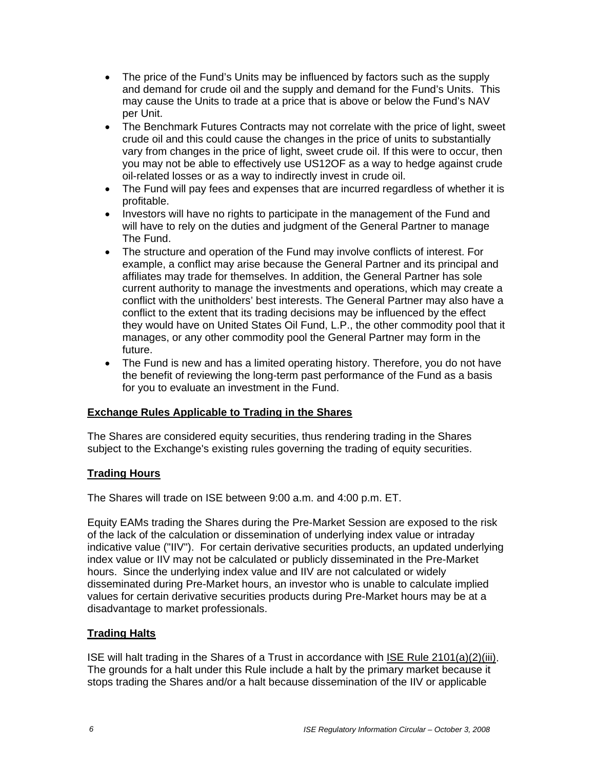- The price of the Fund's Units may be influenced by factors such as the supply and demand for crude oil and the supply and demand for the Fund's Units. This may cause the Units to trade at a price that is above or below the Fund's NAV per Unit.
- The Benchmark Futures Contracts may not correlate with the price of light, sweet crude oil and this could cause the changes in the price of units to substantially vary from changes in the price of light, sweet crude oil. If this were to occur, then you may not be able to effectively use US12OF as a way to hedge against crude oil-related losses or as a way to indirectly invest in crude oil.
- The Fund will pay fees and expenses that are incurred regardless of whether it is profitable.
- Investors will have no rights to participate in the management of the Fund and will have to rely on the duties and judgment of the General Partner to manage The Fund.
- The structure and operation of the Fund may involve conflicts of interest. For example, a conflict may arise because the General Partner and its principal and affiliates may trade for themselves. In addition, the General Partner has sole current authority to manage the investments and operations, which may create a conflict with the unitholders' best interests. The General Partner may also have a conflict to the extent that its trading decisions may be influenced by the effect they would have on United States Oil Fund, L.P., the other commodity pool that it manages, or any other commodity pool the General Partner may form in the future.
- The Fund is new and has a limited operating history. Therefore, you do not have the benefit of reviewing the long-term past performance of the Fund as a basis for you to evaluate an investment in the Fund.

### **Exchange Rules Applicable to Trading in the Shares**

The Shares are considered equity securities, thus rendering trading in the Shares subject to the Exchange's existing rules governing the trading of equity securities.

### **Trading Hours**

The Shares will trade on ISE between 9:00 a.m. and 4:00 p.m. ET.

Equity EAMs trading the Shares during the Pre-Market Session are exposed to the risk of the lack of the calculation or dissemination of underlying index value or intraday indicative value ("IIV"). For certain derivative securities products, an updated underlying index value or IIV may not be calculated or publicly disseminated in the Pre-Market hours. Since the underlying index value and IIV are not calculated or widely disseminated during Pre-Market hours, an investor who is unable to calculate implied values for certain derivative securities products during Pre-Market hours may be at a disadvantage to market professionals.

### **Trading Halts**

ISE will halt trading in the Shares of a Trust in accordance with ISE Rule 2101(a)(2)(iii). The grounds for a halt under this Rule include a halt by the primary market because it stops trading the Shares and/or a halt because dissemination of the IIV or applicable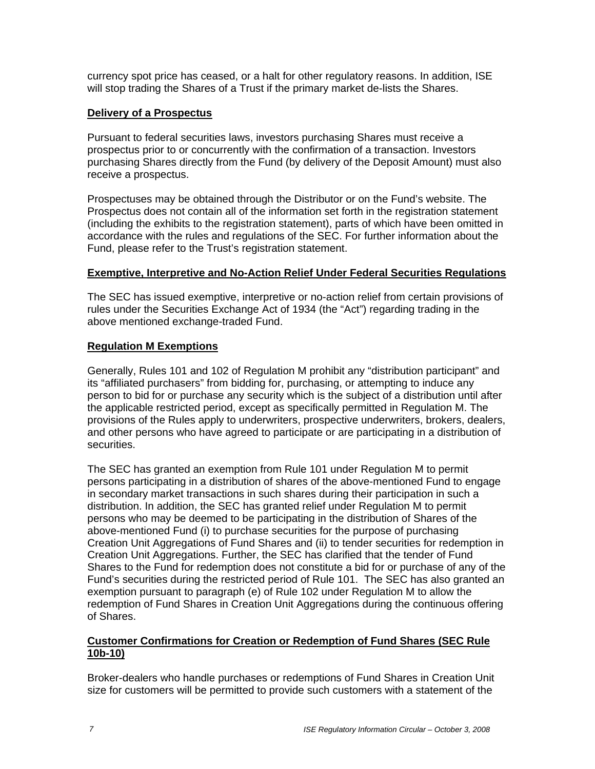currency spot price has ceased, or a halt for other regulatory reasons. In addition, ISE will stop trading the Shares of a Trust if the primary market de-lists the Shares.

### **Delivery of a Prospectus**

Pursuant to federal securities laws, investors purchasing Shares must receive a prospectus prior to or concurrently with the confirmation of a transaction. Investors purchasing Shares directly from the Fund (by delivery of the Deposit Amount) must also receive a prospectus.

Prospectuses may be obtained through the Distributor or on the Fund's website. The Prospectus does not contain all of the information set forth in the registration statement (including the exhibits to the registration statement), parts of which have been omitted in accordance with the rules and regulations of the SEC. For further information about the Fund, please refer to the Trust's registration statement.

### **Exemptive, Interpretive and No-Action Relief Under Federal Securities Regulations**

The SEC has issued exemptive, interpretive or no-action relief from certain provisions of rules under the Securities Exchange Act of 1934 (the "Act") regarding trading in the above mentioned exchange-traded Fund.

# **Regulation M Exemptions**

Generally, Rules 101 and 102 of Regulation M prohibit any "distribution participant" and its "affiliated purchasers" from bidding for, purchasing, or attempting to induce any person to bid for or purchase any security which is the subject of a distribution until after the applicable restricted period, except as specifically permitted in Regulation M. The provisions of the Rules apply to underwriters, prospective underwriters, brokers, dealers, and other persons who have agreed to participate or are participating in a distribution of securities.

The SEC has granted an exemption from Rule 101 under Regulation M to permit persons participating in a distribution of shares of the above-mentioned Fund to engage in secondary market transactions in such shares during their participation in such a distribution. In addition, the SEC has granted relief under Regulation M to permit persons who may be deemed to be participating in the distribution of Shares of the above-mentioned Fund (i) to purchase securities for the purpose of purchasing Creation Unit Aggregations of Fund Shares and (ii) to tender securities for redemption in Creation Unit Aggregations. Further, the SEC has clarified that the tender of Fund Shares to the Fund for redemption does not constitute a bid for or purchase of any of the Fund's securities during the restricted period of Rule 101. The SEC has also granted an exemption pursuant to paragraph (e) of Rule 102 under Regulation M to allow the redemption of Fund Shares in Creation Unit Aggregations during the continuous offering of Shares.

### **Customer Confirmations for Creation or Redemption of Fund Shares (SEC Rule 10b-10)**

Broker-dealers who handle purchases or redemptions of Fund Shares in Creation Unit size for customers will be permitted to provide such customers with a statement of the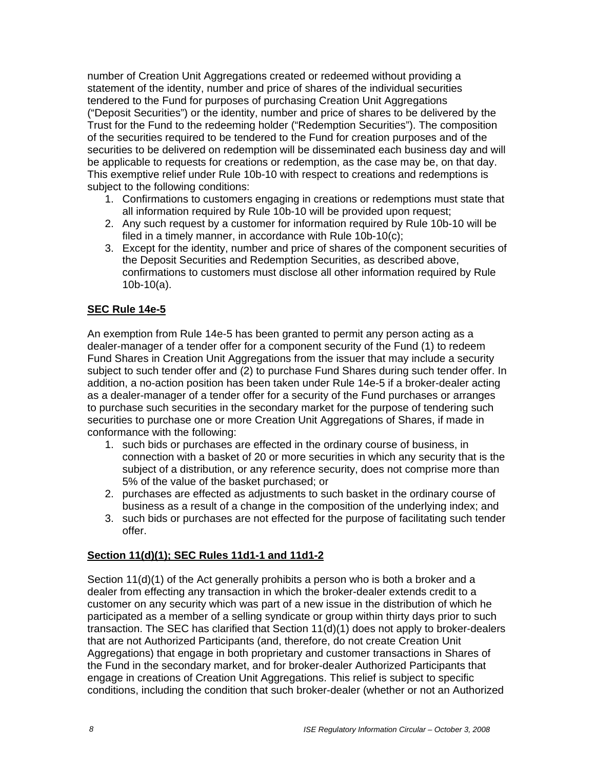number of Creation Unit Aggregations created or redeemed without providing a statement of the identity, number and price of shares of the individual securities tendered to the Fund for purposes of purchasing Creation Unit Aggregations ("Deposit Securities") or the identity, number and price of shares to be delivered by the Trust for the Fund to the redeeming holder ("Redemption Securities"). The composition of the securities required to be tendered to the Fund for creation purposes and of the securities to be delivered on redemption will be disseminated each business day and will be applicable to requests for creations or redemption, as the case may be, on that day. This exemptive relief under Rule 10b-10 with respect to creations and redemptions is subject to the following conditions:

- 1. Confirmations to customers engaging in creations or redemptions must state that all information required by Rule 10b-10 will be provided upon request;
- 2. Any such request by a customer for information required by Rule 10b-10 will be filed in a timely manner, in accordance with Rule 10b-10(c);
- 3. Except for the identity, number and price of shares of the component securities of the Deposit Securities and Redemption Securities, as described above, confirmations to customers must disclose all other information required by Rule 10b-10(a).

## **SEC Rule 14e-5**

An exemption from Rule 14e-5 has been granted to permit any person acting as a dealer-manager of a tender offer for a component security of the Fund (1) to redeem Fund Shares in Creation Unit Aggregations from the issuer that may include a security subject to such tender offer and (2) to purchase Fund Shares during such tender offer. In addition, a no-action position has been taken under Rule 14e-5 if a broker-dealer acting as a dealer-manager of a tender offer for a security of the Fund purchases or arranges to purchase such securities in the secondary market for the purpose of tendering such securities to purchase one or more Creation Unit Aggregations of Shares, if made in conformance with the following:

- 1. such bids or purchases are effected in the ordinary course of business, in connection with a basket of 20 or more securities in which any security that is the subject of a distribution, or any reference security, does not comprise more than 5% of the value of the basket purchased; or
- 2. purchases are effected as adjustments to such basket in the ordinary course of business as a result of a change in the composition of the underlying index; and
- 3. such bids or purchases are not effected for the purpose of facilitating such tender offer.

### **Section 11(d)(1); SEC Rules 11d1-1 and 11d1-2**

Section 11(d)(1) of the Act generally prohibits a person who is both a broker and a dealer from effecting any transaction in which the broker-dealer extends credit to a customer on any security which was part of a new issue in the distribution of which he participated as a member of a selling syndicate or group within thirty days prior to such transaction. The SEC has clarified that Section 11(d)(1) does not apply to broker-dealers that are not Authorized Participants (and, therefore, do not create Creation Unit Aggregations) that engage in both proprietary and customer transactions in Shares of the Fund in the secondary market, and for broker-dealer Authorized Participants that engage in creations of Creation Unit Aggregations. This relief is subject to specific conditions, including the condition that such broker-dealer (whether or not an Authorized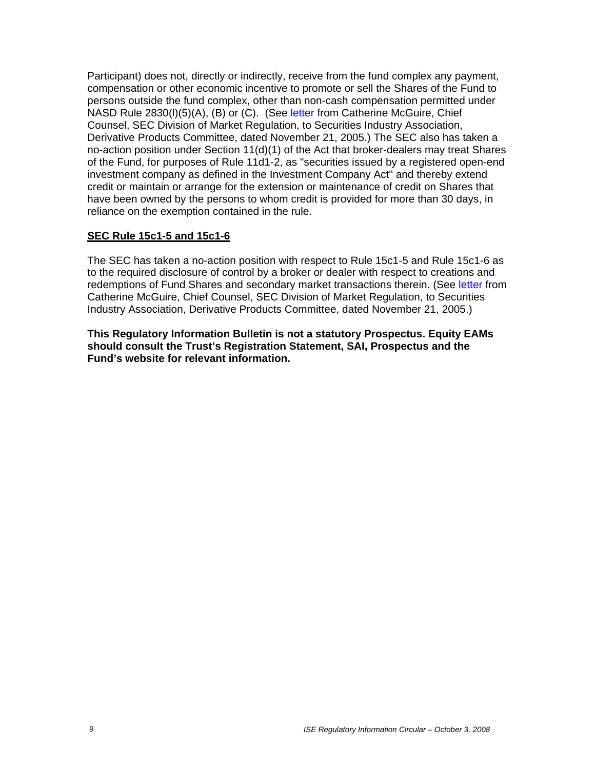Participant) does not, directly or indirectly, receive from the fund complex any payment, compensation or other economic incentive to promote or sell the Shares of the Fund to persons outside the fund complex, other than non-cash compensation permitted under NASD Rule 2830(l)(5)(A), (B) or (C). (See letter from Catherine McGuire, Chief Counsel, SEC Division of Market Regulation, to Securities Industry Association, Derivative Products Committee, dated November 21, 2005.) The SEC also has taken a no-action position under Section 11(d)(1) of the Act that broker-dealers may treat Shares of the Fund, for purposes of Rule 11d1-2, as "securities issued by a registered open-end investment company as defined in the Investment Company Act" and thereby extend credit or maintain or arrange for the extension or maintenance of credit on Shares that have been owned by the persons to whom credit is provided for more than 30 days, in reliance on the exemption contained in the rule.

### **SEC Rule 15c1-5 and 15c1-6**

The SEC has taken a no-action position with respect to Rule 15c1-5 and Rule 15c1-6 as to the required disclosure of control by a broker or dealer with respect to creations and redemptions of Fund Shares and secondary market transactions therein. (See letter from Catherine McGuire, Chief Counsel, SEC Division of Market Regulation, to Securities Industry Association, Derivative Products Committee, dated November 21, 2005.)

**This Regulatory Information Bulletin is not a statutory Prospectus. Equity EAMs should consult the Trust's Registration Statement, SAI, Prospectus and the Fund's website for relevant information.**